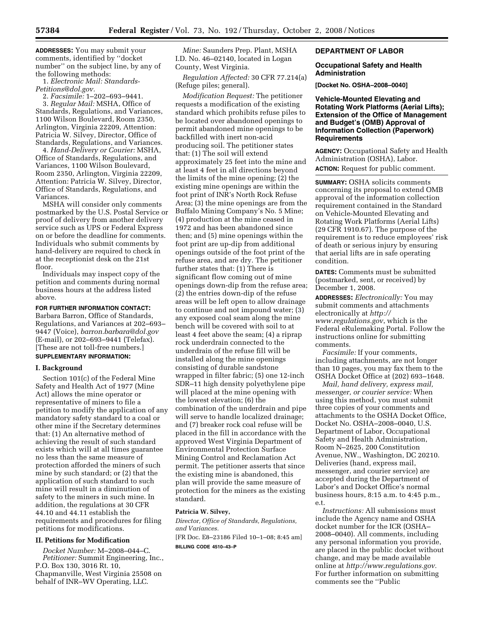**ADDRESSES:** You may submit your comments, identified by ''docket number'' on the subject line, by any of the following methods:

1. *Electronic Mail: Standards-Petitions@dol.gov.* 

2. *Facsimile:* 1–202–693–9441.

3. *Regular Mail:* MSHA, Office of Standards, Regulations, and Variances, 1100 Wilson Boulevard, Room 2350, Arlington, Virginia 22209, Attention: Patricia W. Silvey, Director, Office of Standards, Regulations, and Variances.

4. *Hand-Delivery or Courier:* MSHA, Office of Standards, Regulations, and Variances, 1100 Wilson Boulevard, Room 2350, Arlington, Virginia 22209, Attention: Patricia W. Silvey, Director, Office of Standards, Regulations, and Variances.

MSHA will consider only comments postmarked by the U.S. Postal Service or proof of delivery from another delivery service such as UPS or Federal Express on or before the deadline for comments. Individuals who submit comments by hand-delivery are required to check in at the receptionist desk on the 21st floor.

Individuals may inspect copy of the petition and comments during normal business hours at the address listed above.

# **FOR FURTHER INFORMATION CONTACT:**

Barbara Barron, Office of Standards, Regulations, and Variances at 202–693– 9447 (Voice), *barron.barbara@dol.gov*  (E-mail), or 202–693–9441 (Telefax). [These are not toll-free numbers.] **SUPPLEMENTARY INFORMATION:** 

# **I. Background**

Section 101(c) of the Federal Mine Safety and Health Act of 1977 (Mine Act) allows the mine operator or representative of miners to file a petition to modify the application of any mandatory safety standard to a coal or other mine if the Secretary determines that: (1) An alternative method of achieving the result of such standard exists which will at all times guarantee no less than the same measure of protection afforded the miners of such mine by such standard; or (2) that the application of such standard to such mine will result in a diminution of safety to the miners in such mine. In addition, the regulations at 30 CFR 44.10 and 44.11 establish the requirements and procedures for filing petitions for modifications.

### **II. Petitions for Modification**

*Docket Number:* M–2008–044–C. *Petitioner:* Summit Engineering, Inc., P.O. Box 130, 3016 Rt. 10, Chapmanville, West Virginia 25508 on behalf of INR–WV Operating, LLC.

*Mine:* Saunders Prep. Plant, MSHA I.D. No. 46–02140, located in Logan County, West Virginia.

*Regulation Affected:* 30 CFR 77.214(a) (Refuge piles; general).

*Modification Request:* The petitioner requests a modification of the existing standard which prohibits refuse piles to be located over abandoned openings to permit abandoned mine openings to be backfilled with inert non-acid producing soil. The petitioner states that: (1) The soil will extend approximately 25 feet into the mine and at least 4 feet in all directions beyond the limits of the mine opening; (2) the existing mine openings are within the foot print of INR's North Rock Refuse Area; (3) the mine openings are from the Buffalo Mining Company's No. 5 Mine; (4) production at the mine ceased in 1972 and has been abandoned since then; and (5) mine openings within the foot print are up-dip from additional openings outside of the foot print of the refuse area, and are dry. The petitioner further states that: (1) There is significant flow coming out of mine openings down-dip from the refuse area; (2) the entries down-dip of the refuse areas will be left open to allow drainage to continue and not impound water; (3) any exposed coal seam along the mine bench will be covered with soil to at least 4 feet above the seam; (4) a riprap rock underdrain connected to the underdrain of the refuse fill will be installed along the mine openings consisting of durable sandstone wrapped in filter fabric; (5) one 12-inch SDR–11 high density polyethylene pipe will placed at the mine opening with the lowest elevation; (6) the combination of the underdrain and pipe will serve to handle localized drainage; and (7) breaker rock coal refuse will be placed in the fill in accordance with the approved West Virginia Department of Environmental Protection Surface Mining Control and Reclamation Act permit. The petitioner asserts that since the existing mine is abandoned, this plan will provide the same measure of protection for the miners as the existing standard.

# **Patricia W. Silvey,**

*Director, Office of Standards, Regulations, and Variances.* 

[FR Doc. E8–23186 Filed 10–1–08; 8:45 am] **BILLING CODE 4510–43–P** 

## **DEPARTMENT OF LABOR**

### **Occupational Safety and Health Administration**

**[Docket No. OSHA–2008–0040]** 

## **Vehicle-Mounted Elevating and Rotating Work Platforms (Aerial Lifts); Extension of the Office of Management and Budget's (OMB) Approval of Information Collection (Paperwork) Requirements**

**AGENCY:** Occupational Safety and Health Administration (OSHA), Labor. **ACTION:** Request for public comment.

**SUMMARY:** OSHA solicits comments concerning its proposal to extend OMB approval of the information collection requirement contained in the Standard on Vehicle-Mounted Elevating and Rotating Work Platforms (Aerial Lifts) (29 CFR 1910.67). The purpose of the requirement is to reduce employees' risk of death or serious injury by ensuring that aerial lifts are in safe operating condition.

**DATES:** Comments must be submitted (postmarked, sent, or received) by December 1, 2008.

**ADDRESSES:** *Electronically:* You may submit comments and attachments electronically at *http:// www.regulations.gov*, which is the Federal eRulemaking Portal. Follow the instructions online for submitting comments.

*Facsimile:* If your comments, including attachments, are not longer than 10 pages, you may fax them to the OSHA Docket Office at (202) 693–1648.

*Mail, hand delivery, express mail, messenger, or courier service:* When using this method, you must submit three copies of your comments and attachments to the OSHA Docket Office, Docket No. OSHA–2008–0040, U.S. Department of Labor, Occupational Safety and Health Administration, Room N–2625, 200 Constitution Avenue, NW., Washington, DC 20210. Deliveries (hand, express mail, messenger, and courier service) are accepted during the Department of Labor's and Docket Office's normal business hours, 8:15 a.m. to 4:45 p.m., e.t.

*Instructions:* All submissions must include the Agency name and OSHA docket number for the ICR (OSHA– 2008–0040). All comments, including any personal information you provide, are placed in the public docket without change, and may be made available online at *http://www.regulations.gov.*  For further information on submitting comments see the ''Public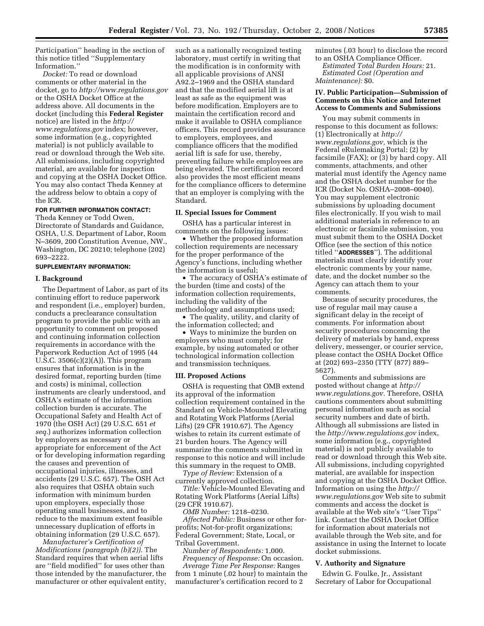Participation'' heading in the section of this notice titled ''Supplementary Information.''

*Docket:* To read or download comments or other material in the docket, go to *http://www.regulations.gov*  or the OSHA Docket Office at the address above. All documents in the docket (including this **Federal Register**  notice) are listed in the *http:// www.regulations.gov* index; however, some information (e.g., copyrighted material) is not publicly available to read or download through the Web site. All submissions, including copyrighted material, are available for inspection and copying at the OSHA Docket Office. You may also contact Theda Kenney at the address below to obtain a copy of the ICR.

## **FOR FURTHER INFORMATION CONTACT:**

Theda Kenney or Todd Owen, Directorate of Standards and Guidance, OSHA, U.S. Department of Labor, Room N–3609, 200 Constitution Avenue, NW., Washington, DC 20210; telephone (202) 693–2222.

## **SUPPLEMENTARY INFORMATION:**

### **I. Background**

The Department of Labor, as part of its continuing effort to reduce paperwork and respondent (i.e., employer) burden, conducts a preclearance consultation program to provide the public with an opportunity to comment on proposed and continuing information collection requirements in accordance with the Paperwork Reduction Act of 1995 (44 U.S.C.  $3506(c)(2)(A)$ ). This program ensures that information is in the desired format, reporting burden (time and costs) is minimal, collection instruments are clearly understood, and OSHA's estimate of the information collection burden is accurate. The Occupational Safety and Health Act of 1970 (the OSH Act) (29 U.S.C. 651 *et seq.*) authorizes information collection by employers as necessary or appropriate for enforcement of the Act or for developing information regarding the causes and prevention of occupational injuries, illnesses, and accidents (29 U.S.C. 657). The OSH Act also requires that OSHA obtain such information with minimum burden upon employers, especially those operating small businesses, and to reduce to the maximum extent feasible unnecessary duplication of efforts in obtaining information (29 U.S.C. 657).

*Manufacturer's Certification of Modifications (paragraph (b)(2)).* The Standard requires that when aerial lifts are ''field modified'' for uses other than those intended by the manufacturer, the manufacturer or other equivalent entity,

such as a nationally recognized testing laboratory, must certify in writing that the modification is in conformity with all applicable provisions of ANSI A92.2–1969 and the OSHA standard and that the modified aerial lift is at least as safe as the equipment was before modification. Employers are to maintain the certification record and make it available to OSHA compliance officers. This record provides assurance to employers, employees, and compliance officers that the modified aerial lift is safe for use, thereby, preventing failure while employees are being elevated. The certification record also provides the most efficient means for the compliance officers to determine that an employer is complying with the Standard.

### **II. Special Issues for Comment**

OSHA has a particular interest in comments on the following issues:

• Whether the proposed information collection requirements are necessary for the proper performance of the Agency's functions, including whether the information is useful;

• The accuracy of OSHA's estimate of the burden (time and costs) of the information collection requirements, including the validity of the methodology and assumptions used;

• The quality, utility, and clarity of the information collected; and

• Ways to minimize the burden on employers who must comply; for example, by using automated or other technological information collection and transmission techniques.

#### **III. Proposed Actions**

OSHA is requesting that OMB extend its approval of the information collection requirement contained in the Standard on Vehicle-Mounted Elevating and Rotating Work Platforms (Aerial Lifts) (29 CFR 1910.67). The Agency wishes to retain its current estimate of 21 burden hours. The Agency will summarize the comments submitted in response to this notice and will include this summary in the request to OMB.

*Type of Review:* Extension of a currently approved collection.

*Title:* Vehicle-Mounted Elevating and Rotating Work Platforms (Aerial Lifts) (29 CFR 1910.67).

*OMB Number:* 1218–0230.

*Affected Public:* Business or other forprofits; Not-for-profit organizations; Federal Government; State, Local, or Tribal Government.

*Number of Respondents:* 1,000.

*Frequency of Response:* On occasion. *Average Time Per Response:* Ranges from 1 minute (.02 hour) to maintain the manufacturer's certification record to 2

minutes (.03 hour) to disclose the record to an OSHA Compliance Officer.

*Estimated Total Burden Hours:* 21. *Estimated Cost (Operation and Maintenance):* \$0.

### **IV. Public Participation—Submission of Comments on this Notice and Internet Access to Comments and Submissions**

You may submit comments in response to this document as follows: (1) Electronically at *http:// www.regulations.gov,* which is the Federal eRulemaking Portal; (2) by facsimile (FAX); or (3) by hard copy. All comments, attachments, and other material must identify the Agency name and the OSHA docket number for the ICR (Docket No. OSHA–2008–0040). You may supplement electronic submissions by uploading document files electronically. If you wish to mail additional materials in reference to an electronic or facsimile submission, you must submit them to the OSHA Docket Office (see the section of this notice titled ''**ADDRESSES**''). The additional materials must clearly identify your electronic comments by your name, date, and the docket number so the Agency can attach them to your comments.

Because of security procedures, the use of regular mail may cause a significant delay in the receipt of comments. For information about security procedures concerning the delivery of materials by hand, express delivery, messenger, or courier service, please contact the OSHA Docket Office at (202) 693–2350 (TTY (877) 889– 5627).

Comments and submissions are posted without change at *http:// www.regulations.gov.* Therefore, OSHA cautions commenters about submitting personal information such as social security numbers and date of birth. Although all submissions are listed in the *http://www.regulations.gov* index, some information (e.g., copyrighted material) is not publicly available to read or download through this Web site. All submissions, including copyrighted material, are available for inspection and copying at the OSHA Docket Office. Information on using the *http:// www.regulations.gov* Web site to submit comments and access the docket is available at the Web site's ''User Tips'' link. Contact the OSHA Docket Office for information about materials not available through the Web site, and for assistance in using the Internet to locate docket submissions.

### **V. Authority and Signature**

Edwin G. Foulke, Jr., Assistant Secretary of Labor for Occupational